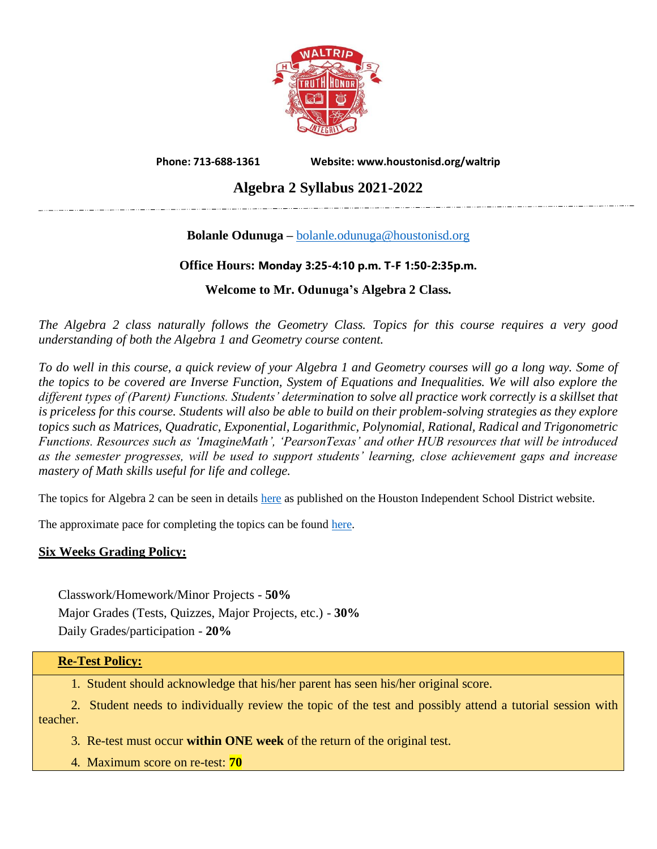

**Phone: 713-688-1361 Website: www.houstonisd.org/waltrip**

## **Algebra 2 Syllabus 2021-2022**

### **Bolanle Odunuga –** [bolanle.odunuga@houstonisd.org](mailto:bolanle.odunuga@houstonisd.org)

#### **Office Hours: Monday 3:25-4:10 p.m. T-F 1:50-2:35p.m.**

#### **Welcome to Mr. Odunuga's Algebra 2 Class.**

*The Algebra 2 class naturally follows the Geometry Class. Topics for this course requires a very good understanding of both the Algebra 1 and Geometry course content.*

*To do well in this course, a quick review of your Algebra 1 and Geometry courses will go a long way. Some of the topics to be covered are Inverse Function, System of Equations and Inequalities. We will also explore the different types of (Parent) Functions. Students' determination to solve all practice work correctly is a skillset that is priceless for this course. Students will also be able to build on their problem-solving strategies as they explore topics such as Matrices, Quadratic, Exponential, Logarithmic, Polynomial, Rational, Radical and Trigonometric Functions. Resources such as 'ImagineMath', 'PearsonTexas' and other HUB resources that will be introduced as the semester progresses, will be used to support students' learning, close achievement gaps and increase mastery of Math skills useful for life and college.*

The topics for Algebra 2 can be seen in details [here](https://www.houstonisd.org/Page/93862) as published on the Houston Independent School District website.

The approximate pace for completing the topics can be found [here.](https://www.houstonisd.org/Page/94296)

#### **Six Weeks Grading Policy:**

Classwork/Homework/Minor Projects - **50%** Major Grades (Tests, Quizzes, Major Projects, etc.) - **30%** Daily Grades/participation - **20%**

#### **Re-Test Policy:**

1. Student should acknowledge that his/her parent has seen his/her original score.

 2. Student needs to individually review the topic of the test and possibly attend a tutorial session with teacher.

3. Re-test must occur **within ONE week** of the return of the original test.

4. Maximum score on re-test: **70**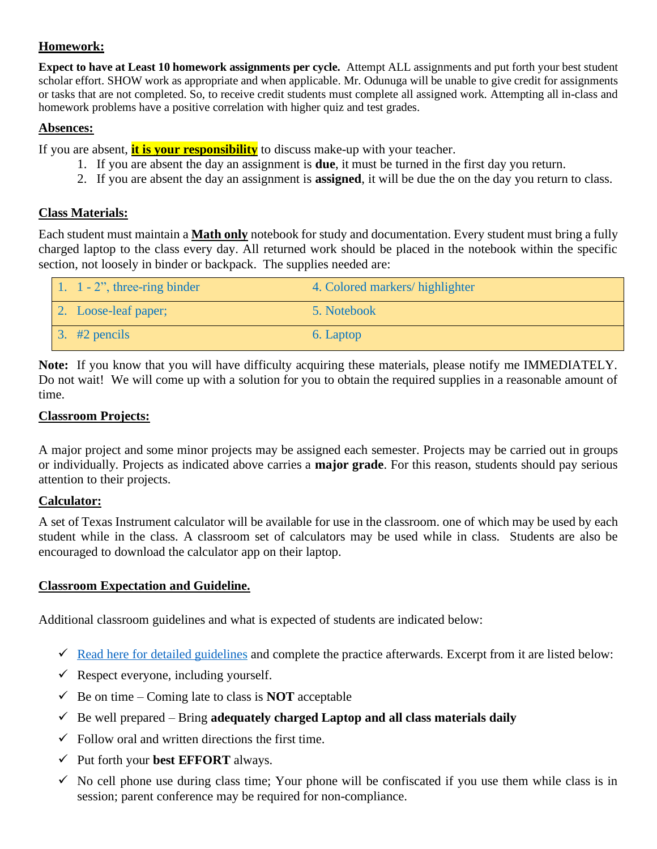#### **Homework:**

**Expect to have at Least 10 homework assignments per cycle.** Attempt ALL assignments and put forth your best student scholar effort. SHOW work as appropriate and when applicable. Mr. Odunuga will be unable to give credit for assignments or tasks that are not completed. So, to receive credit students must complete all assigned work. Attempting all in-class and homework problems have a positive correlation with higher quiz and test grades.

#### **Absences:**

If you are absent, **it is your responsibility** to discuss make-up with your teacher.

- 1. If you are absent the day an assignment is **due**, it must be turned in the first day you return.
- 2. If you are absent the day an assignment is **assigned**, it will be due the on the day you return to class.

#### **Class Materials:**

Each student must maintain a **Math only** notebook for study and documentation. Every student must bring a fully charged laptop to the class every day. All returned work should be placed in the notebook within the specific section, not loosely in binder or backpack. The supplies needed are:

| 1. $1 - 2$ ", three-ring binder | 4. Colored markers/highlighter |
|---------------------------------|--------------------------------|
| 2. Loose-leaf paper;            | 5. Notebook                    |
| $\frac{1}{2}$ . #2 pencils      | 6. Laptop                      |

**Note:** If you know that you will have difficulty acquiring these materials, please notify me IMMEDIATELY. Do not wait! We will come up with a solution for you to obtain the required supplies in a reasonable amount of time.

#### **Classroom Projects:**

A major project and some minor projects may be assigned each semester. Projects may be carried out in groups or individually. Projects as indicated above carries a **major grade**. For this reason, students should pay serious attention to their projects.

#### **Calculator:**

A set of Texas Instrument calculator will be available for use in the classroom. one of which may be used by each student while in the class. A classroom set of calculators may be used while in class. Students are also be encouraged to download the calculator app on their laptop.

#### **Classroom Expectation and Guideline.**

Additional classroom guidelines and what is expected of students are indicated below:

- $\checkmark$  [Read here for detailed guidelines](https://docs.google.com/document/d/1RYbBm7X3kyiwAbb9eYvqvLCUUwrNT5QOkgJohsNCEz4/edit?usp=sharing) and complete the practice afterwards. Excerpt from it are listed below:
- $\checkmark$  Respect everyone, including yourself.
- $\checkmark$  Be on time Coming late to class is **NOT** acceptable
- $\checkmark$  Be well prepared Bring **adequately charged Laptop and all class materials daily**
- $\checkmark$  Follow oral and written directions the first time.
- ✓ Put forth your **best EFFORT** always.
- $\checkmark$  No cell phone use during class time; Your phone will be confiscated if you use them while class is in session; parent conference may be required for non-compliance.